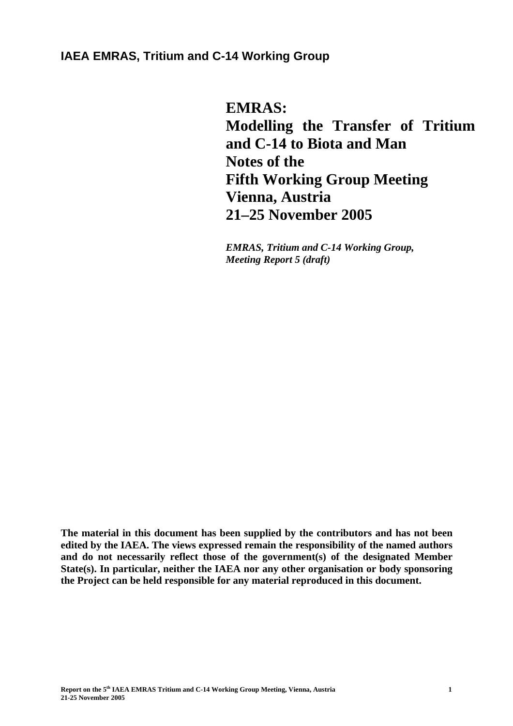# **IAEA EMRAS, Tritium and C-14 Working Group**

**EMRAS: Modelling the Transfer of Tritium and C-14 to Biota and Man Notes of the Fifth Working Group Meeting Vienna, Austria 21–25 November 2005** 

*EMRAS, Tritium and C-14 Working Group, Meeting Report 5 (draft)* 

**The material in this document has been supplied by the contributors and has not been edited by the IAEA. The views expressed remain the responsibility of the named authors and do not necessarily reflect those of the government(s) of the designated Member State(s). In particular, neither the IAEA nor any other organisation or body sponsoring the Project can be held responsible for any material reproduced in this document.**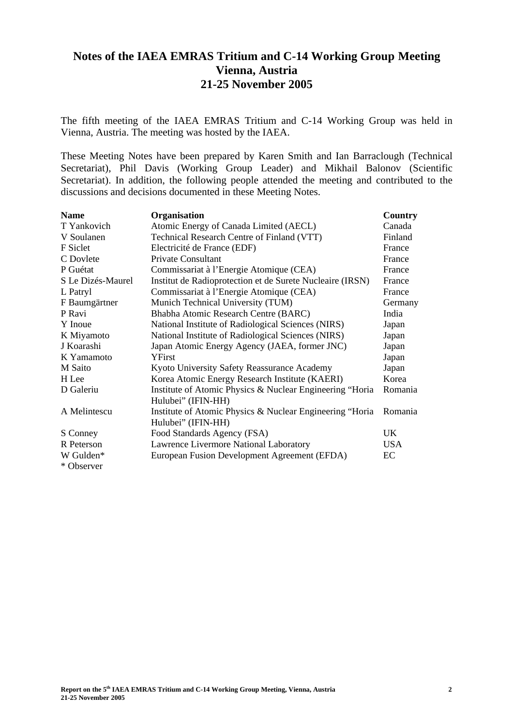# **Notes of the IAEA EMRAS Tritium and C-14 Working Group Meeting Vienna, Austria 21-25 November 2005**

The fifth meeting of the IAEA EMRAS Tritium and C-14 Working Group was held in Vienna, Austria. The meeting was hosted by the IAEA.

These Meeting Notes have been prepared by Karen Smith and Ian Barraclough (Technical Secretariat), Phil Davis (Working Group Leader) and Mikhail Balonov (Scientific Secretariat). In addition, the following people attended the meeting and contributed to the discussions and decisions documented in these Meeting Notes.

| <b>Name</b>       | Organisation                                              | <b>Country</b> |
|-------------------|-----------------------------------------------------------|----------------|
| T Yankovich       | Atomic Energy of Canada Limited (AECL)                    | Canada         |
| V Soulanen        | Technical Research Centre of Finland (VTT)                | Finland        |
| F Siclet          | Electricité de France (EDF)                               | France         |
| C Dovlete         | <b>Private Consultant</b>                                 | France         |
| P Guétat          | Commissariat à l'Energie Atomique (CEA)                   | France         |
| S Le Dizés-Maurel | Institut de Radioprotection et de Surete Nucleaire (IRSN) | France         |
| L Patryl          | Commissariat à l'Energie Atomique (CEA)                   | France         |
| F Baumgärtner     | Munich Technical University (TUM)                         | Germany        |
| P Ravi            | Bhabha Atomic Research Centre (BARC)                      | India          |
| Y Inoue           | National Institute of Radiological Sciences (NIRS)        | Japan          |
| K Miyamoto        | National Institute of Radiological Sciences (NIRS)        | Japan          |
| J Koarashi        | Japan Atomic Energy Agency (JAEA, former JNC)             | Japan          |
| K Yamamoto        | YFirst                                                    | Japan          |
| M Saito           | Kyoto University Safety Reassurance Academy               | Japan          |
| H Lee             | Korea Atomic Energy Research Institute (KAERI)            | Korea          |
| D Galeriu         | Institute of Atomic Physics & Nuclear Engineering "Horia  | Romania        |
|                   | Hulubei" (IFIN-HH)                                        |                |
| A Melintescu      | Institute of Atomic Physics & Nuclear Engineering "Horia  | Romania        |
|                   | Hulubei" (IFIN-HH)                                        |                |
| S Conney          | Food Standards Agency (FSA)                               | UK             |
| R Peterson        | Lawrence Livermore National Laboratory                    | <b>USA</b>     |
| W Gulden*         | European Fusion Development Agreement (EFDA)              | EC             |
| * Observer        |                                                           |                |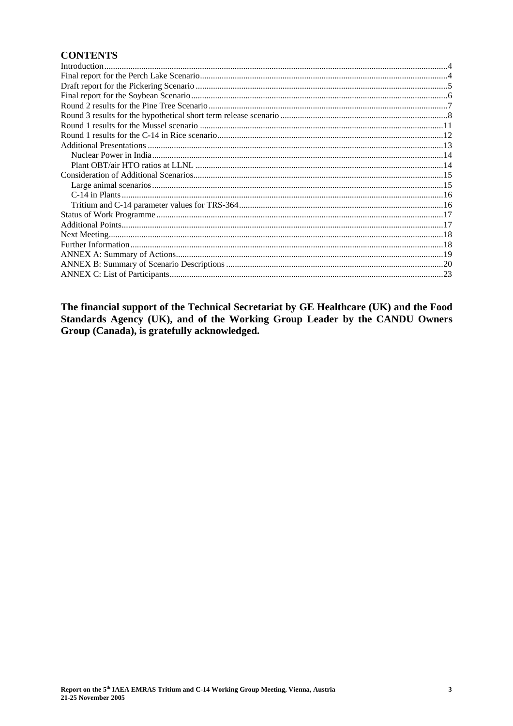# **CONTENTS**

The financial support of the Technical Secretariat by GE Healthcare (UK) and the Food Standards Agency (UK), and of the Working Group Leader by the CANDU Owners Group (Canada), is gratefully acknowledged.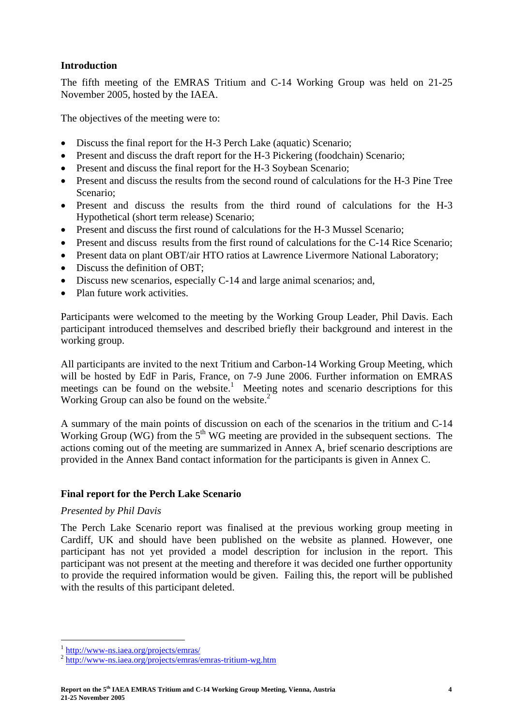#### **Introduction**

The fifth meeting of the EMRAS Tritium and C-14 Working Group was held on 21-25 November 2005, hosted by the IAEA.

The objectives of the meeting were to:

- Discuss the final report for the H-3 Perch Lake (aquatic) Scenario;
- Present and discuss the draft report for the H-3 Pickering (foodchain) Scenario;
- Present and discuss the final report for the H-3 Soybean Scenario;
- Present and discuss the results from the second round of calculations for the H-3 Pine Tree Scenario;
- Present and discuss the results from the third round of calculations for the H-3 Hypothetical (short term release) Scenario;
- Present and discuss the first round of calculations for the H-3 Mussel Scenario;
- Present and discuss results from the first round of calculations for the C-14 Rice Scenario;
- Present data on plant OBT/air HTO ratios at Lawrence Livermore National Laboratory;
- Discuss the definition of OBT:
- Discuss new scenarios, especially C-14 and large animal scenarios; and,
- Plan future work activities.

Participants were welcomed to the meeting by the Working Group Leader, Phil Davis. Each participant introduced themselves and described briefly their background and interest in the working group.

All participants are invited to the next Tritium and Carbon-14 Working Group Meeting, which will be hosted by EdF in Paris, France, on 7-9 June 2006. Further information on EMRAS meetings can be found on the website.<sup>1</sup> Meeting notes and scenario descriptions for this Working Group can also be found on the website.<sup>2</sup>

A summary of the main points of discussion on each of the scenarios in the tritium and C-14 Working Group (WG) from the  $5<sup>th</sup>$  WG meeting are provided in the subsequent sections. The actions coming out of the meeting are summarized in Annex A, brief scenario descriptions are provided in the Annex Band contact information for the participants is given in Annex C.

#### **Final report for the Perch Lake Scenario**

#### *Presented by Phil Davis*

The Perch Lake Scenario report was finalised at the previous working group meeting in Cardiff, UK and should have been published on the website as planned. However, one participant has not yet provided a model description for inclusion in the report. This participant was not present at the meeting and therefore it was decided one further opportunity to provide the required information would be given. Failing this, the report will be published with the results of this participant deleted.

 $\overline{a}$ 

<sup>1</sup> http://www-ns.iaea.org/projects/emras/ 2 http://www-ns.iaea.org/projects/emras/emras-tritium-wg.htm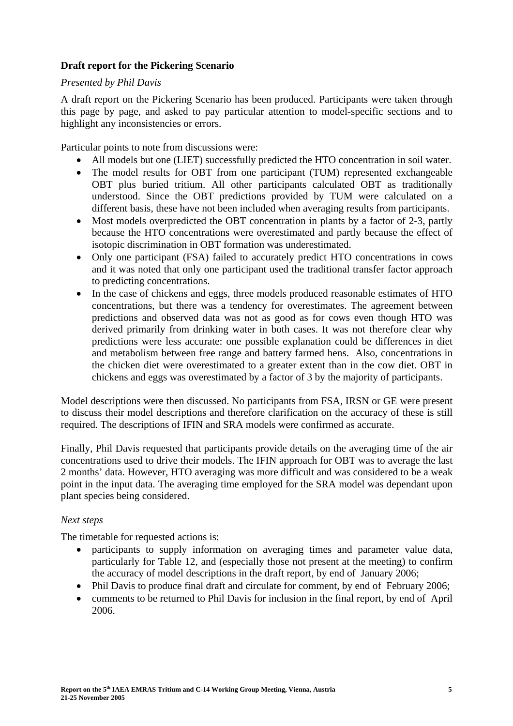### **Draft report for the Pickering Scenario**

#### *Presented by Phil Davis*

A draft report on the Pickering Scenario has been produced. Participants were taken through this page by page, and asked to pay particular attention to model-specific sections and to highlight any inconsistencies or errors.

Particular points to note from discussions were:

- All models but one (LIET) successfully predicted the HTO concentration in soil water.
- The model results for OBT from one participant (TUM) represented exchangeable OBT plus buried tritium. All other participants calculated OBT as traditionally understood. Since the OBT predictions provided by TUM were calculated on a different basis, these have not been included when averaging results from participants.
- Most models overpredicted the OBT concentration in plants by a factor of 2-3, partly because the HTO concentrations were overestimated and partly because the effect of isotopic discrimination in OBT formation was underestimated.
- Only one participant (FSA) failed to accurately predict HTO concentrations in cows and it was noted that only one participant used the traditional transfer factor approach to predicting concentrations.
- In the case of chickens and eggs, three models produced reasonable estimates of HTO concentrations, but there was a tendency for overestimates. The agreement between predictions and observed data was not as good as for cows even though HTO was derived primarily from drinking water in both cases. It was not therefore clear why predictions were less accurate: one possible explanation could be differences in diet and metabolism between free range and battery farmed hens. Also, concentrations in the chicken diet were overestimated to a greater extent than in the cow diet. OBT in chickens and eggs was overestimated by a factor of 3 by the majority of participants.

Model descriptions were then discussed. No participants from FSA, IRSN or GE were present to discuss their model descriptions and therefore clarification on the accuracy of these is still required. The descriptions of IFIN and SRA models were confirmed as accurate.

Finally, Phil Davis requested that participants provide details on the averaging time of the air concentrations used to drive their models. The IFIN approach for OBT was to average the last 2 months' data. However, HTO averaging was more difficult and was considered to be a weak point in the input data. The averaging time employed for the SRA model was dependant upon plant species being considered.

#### *Next steps*

The timetable for requested actions is:

- participants to supply information on averaging times and parameter value data, particularly for Table 12, and (especially those not present at the meeting) to confirm the accuracy of model descriptions in the draft report, by end of January 2006;
- Phil Davis to produce final draft and circulate for comment, by end of February 2006;
- comments to be returned to Phil Davis for inclusion in the final report, by end of April 2006.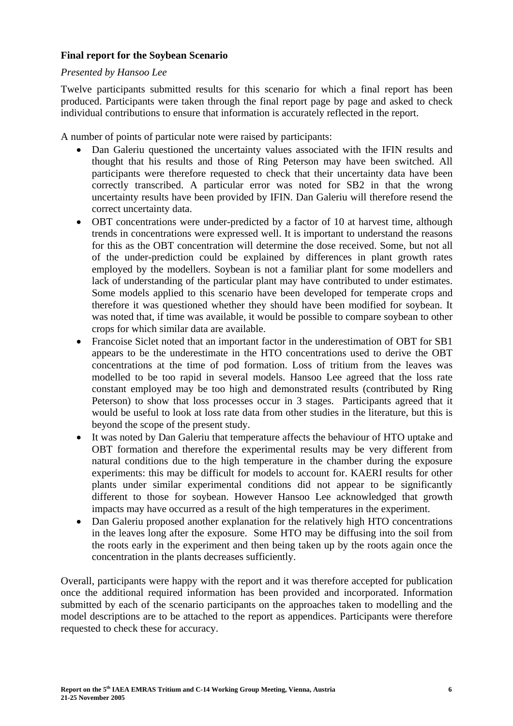#### **Final report for the Soybean Scenario**

#### *Presented by Hansoo Lee*

Twelve participants submitted results for this scenario for which a final report has been produced. Participants were taken through the final report page by page and asked to check individual contributions to ensure that information is accurately reflected in the report.

A number of points of particular note were raised by participants:

- Dan Galeriu questioned the uncertainty values associated with the IFIN results and thought that his results and those of Ring Peterson may have been switched. All participants were therefore requested to check that their uncertainty data have been correctly transcribed. A particular error was noted for SB2 in that the wrong uncertainty results have been provided by IFIN. Dan Galeriu will therefore resend the correct uncertainty data.
- OBT concentrations were under-predicted by a factor of 10 at harvest time, although trends in concentrations were expressed well. It is important to understand the reasons for this as the OBT concentration will determine the dose received. Some, but not all of the under-prediction could be explained by differences in plant growth rates employed by the modellers. Soybean is not a familiar plant for some modellers and lack of understanding of the particular plant may have contributed to under estimates. Some models applied to this scenario have been developed for temperate crops and therefore it was questioned whether they should have been modified for soybean. It was noted that, if time was available, it would be possible to compare soybean to other crops for which similar data are available.
- Francoise Siclet noted that an important factor in the underestimation of OBT for SB1 appears to be the underestimate in the HTO concentrations used to derive the OBT concentrations at the time of pod formation. Loss of tritium from the leaves was modelled to be too rapid in several models. Hansoo Lee agreed that the loss rate constant employed may be too high and demonstrated results (contributed by Ring Peterson) to show that loss processes occur in 3 stages. Participants agreed that it would be useful to look at loss rate data from other studies in the literature, but this is beyond the scope of the present study.
- It was noted by Dan Galeriu that temperature affects the behaviour of HTO uptake and OBT formation and therefore the experimental results may be very different from natural conditions due to the high temperature in the chamber during the exposure experiments: this may be difficult for models to account for. KAERI results for other plants under similar experimental conditions did not appear to be significantly different to those for soybean. However Hansoo Lee acknowledged that growth impacts may have occurred as a result of the high temperatures in the experiment.
- Dan Galeriu proposed another explanation for the relatively high HTO concentrations in the leaves long after the exposure. Some HTO may be diffusing into the soil from the roots early in the experiment and then being taken up by the roots again once the concentration in the plants decreases sufficiently.

Overall, participants were happy with the report and it was therefore accepted for publication once the additional required information has been provided and incorporated. Information submitted by each of the scenario participants on the approaches taken to modelling and the model descriptions are to be attached to the report as appendices. Participants were therefore requested to check these for accuracy.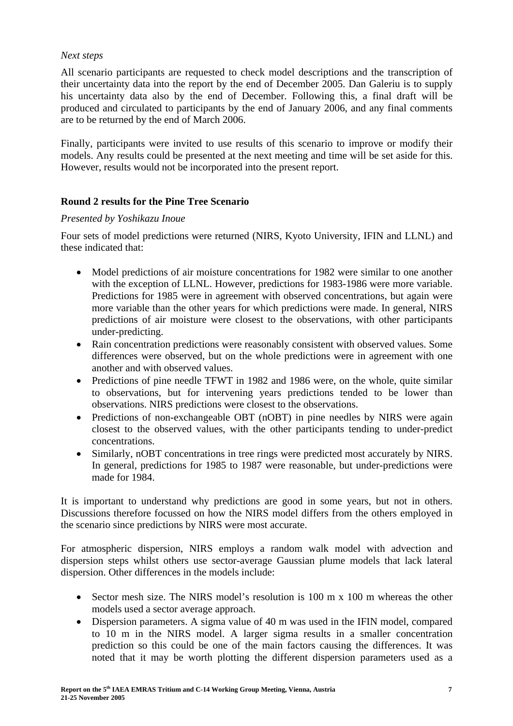#### *Next steps*

All scenario participants are requested to check model descriptions and the transcription of their uncertainty data into the report by the end of December 2005. Dan Galeriu is to supply his uncertainty data also by the end of December. Following this, a final draft will be produced and circulated to participants by the end of January 2006, and any final comments are to be returned by the end of March 2006.

Finally, participants were invited to use results of this scenario to improve or modify their models. Any results could be presented at the next meeting and time will be set aside for this. However, results would not be incorporated into the present report.

# **Round 2 results for the Pine Tree Scenario**

### *Presented by Yoshikazu Inoue*

Four sets of model predictions were returned (NIRS, Kyoto University, IFIN and LLNL) and these indicated that:

- Model predictions of air moisture concentrations for 1982 were similar to one another with the exception of LLNL. However, predictions for 1983-1986 were more variable. Predictions for 1985 were in agreement with observed concentrations, but again were more variable than the other years for which predictions were made. In general, NIRS predictions of air moisture were closest to the observations, with other participants under-predicting.
- Rain concentration predictions were reasonably consistent with observed values. Some differences were observed, but on the whole predictions were in agreement with one another and with observed values.
- Predictions of pine needle TFWT in 1982 and 1986 were, on the whole, quite similar to observations, but for intervening years predictions tended to be lower than observations. NIRS predictions were closest to the observations.
- Predictions of non-exchangeable OBT (nOBT) in pine needles by NIRS were again closest to the observed values, with the other participants tending to under-predict concentrations.
- Similarly, nOBT concentrations in tree rings were predicted most accurately by NIRS. In general, predictions for 1985 to 1987 were reasonable, but under-predictions were made for 1984.

It is important to understand why predictions are good in some years, but not in others. Discussions therefore focussed on how the NIRS model differs from the others employed in the scenario since predictions by NIRS were most accurate.

For atmospheric dispersion, NIRS employs a random walk model with advection and dispersion steps whilst others use sector-average Gaussian plume models that lack lateral dispersion. Other differences in the models include:

- Sector mesh size. The NIRS model's resolution is 100 m x 100 m whereas the other models used a sector average approach.
- Dispersion parameters. A sigma value of 40 m was used in the IFIN model, compared to 10 m in the NIRS model. A larger sigma results in a smaller concentration prediction so this could be one of the main factors causing the differences. It was noted that it may be worth plotting the different dispersion parameters used as a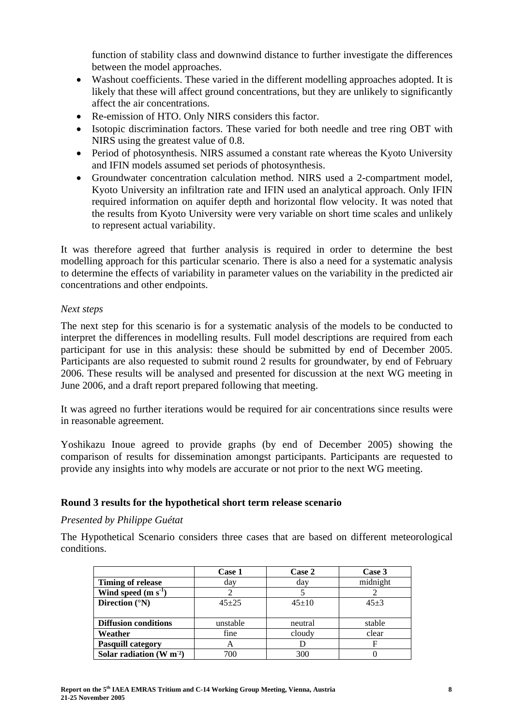function of stability class and downwind distance to further investigate the differences between the model approaches.

- Washout coefficients. These varied in the different modelling approaches adopted. It is likely that these will affect ground concentrations, but they are unlikely to significantly affect the air concentrations.
- Re-emission of HTO. Only NIRS considers this factor.
- Isotopic discrimination factors. These varied for both needle and tree ring OBT with NIRS using the greatest value of 0.8.
- Period of photosynthesis. NIRS assumed a constant rate whereas the Kyoto University and IFIN models assumed set periods of photosynthesis.
- Groundwater concentration calculation method. NIRS used a 2-compartment model, Kyoto University an infiltration rate and IFIN used an analytical approach. Only IFIN required information on aquifer depth and horizontal flow velocity. It was noted that the results from Kyoto University were very variable on short time scales and unlikely to represent actual variability.

It was therefore agreed that further analysis is required in order to determine the best modelling approach for this particular scenario. There is also a need for a systematic analysis to determine the effects of variability in parameter values on the variability in the predicted air concentrations and other endpoints.

#### *Next steps*

The next step for this scenario is for a systematic analysis of the models to be conducted to interpret the differences in modelling results. Full model descriptions are required from each participant for use in this analysis: these should be submitted by end of December 2005. Participants are also requested to submit round 2 results for groundwater, by end of February 2006. These results will be analysed and presented for discussion at the next WG meeting in June 2006, and a draft report prepared following that meeting.

It was agreed no further iterations would be required for air concentrations since results were in reasonable agreement.

Yoshikazu Inoue agreed to provide graphs (by end of December 2005) showing the comparison of results for dissemination amongst participants. Participants are requested to provide any insights into why models are accurate or not prior to the next WG meeting.

#### **Round 3 results for the hypothetical short term release scenario**

*Presented by Philippe Guétat* 

The Hypothetical Scenario considers three cases that are based on different meteorological conditions.

|                             | Case 1    | Case 2  | Case 3   |
|-----------------------------|-----------|---------|----------|
| <b>Timing of release</b>    | day       | day     | midnight |
| Wind speed $(m s1)$         |           |         |          |
| Direction $(^{\circ}N)$     | $45 + 25$ | $45+10$ | $45+3$   |
|                             |           |         |          |
| <b>Diffusion conditions</b> | unstable  | neutral | stable   |
| Weather                     | fine      | cloudy  | clear    |
| <b>Pasquill category</b>    | A         |         | F        |
| Solar radiation $(W m2)$    | 700       | 300     |          |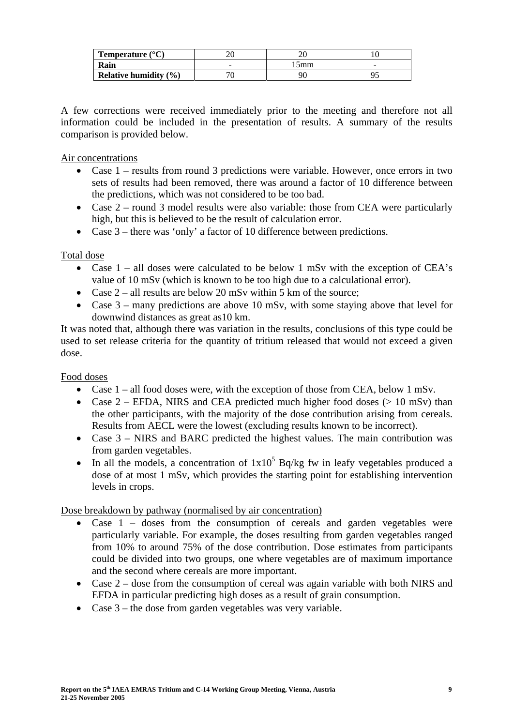| <b>Temperature</b> $(^{\circ}C)$ |     |   |
|----------------------------------|-----|---|
| Rain                             | omm | - |
| Relative humidity $(\% )$        |     |   |

A few corrections were received immediately prior to the meeting and therefore not all information could be included in the presentation of results. A summary of the results comparison is provided below.

Air concentrations

- Case 1 results from round 3 predictions were variable. However, once errors in two sets of results had been removed, there was around a factor of 10 difference between the predictions, which was not considered to be too bad.
- Case 2 round 3 model results were also variable: those from CEA were particularly high, but this is believed to be the result of calculation error.
- Case 3 there was 'only' a factor of 10 difference between predictions.

# Total dose

- Case 1 all doses were calculated to be below 1 mSv with the exception of CEA's value of 10 mSv (which is known to be too high due to a calculational error).
- Case  $2$  all results are below 20 mSv within 5 km of the source:
- Case 3 many predictions are above 10 mSv, with some staying above that level for downwind distances as great as10 km.

It was noted that, although there was variation in the results, conclusions of this type could be used to set release criteria for the quantity of tritium released that would not exceed a given dose.

Food doses

- Case  $1$  all food doses were, with the exception of those from CEA, below  $1 \text{ mSv}$ .
- Case  $2$  EFDA, NIRS and CEA predicted much higher food doses ( $> 10$  mSv) than the other participants, with the majority of the dose contribution arising from cereals. Results from AECL were the lowest (excluding results known to be incorrect).
- Case 3 NIRS and BARC predicted the highest values. The main contribution was from garden vegetables.
- In all the models, a concentration of  $1x10^5$  Bq/kg fw in leafy vegetables produced a dose of at most 1 mSv, which provides the starting point for establishing intervention levels in crops.

Dose breakdown by pathway (normalised by air concentration)

- Case 1 doses from the consumption of cereals and garden vegetables were particularly variable. For example, the doses resulting from garden vegetables ranged from 10% to around 75% of the dose contribution. Dose estimates from participants could be divided into two groups, one where vegetables are of maximum importance and the second where cereals are more important.
- Case 2 dose from the consumption of cereal was again variable with both NIRS and EFDA in particular predicting high doses as a result of grain consumption.
- Case 3 the dose from garden vegetables was very variable.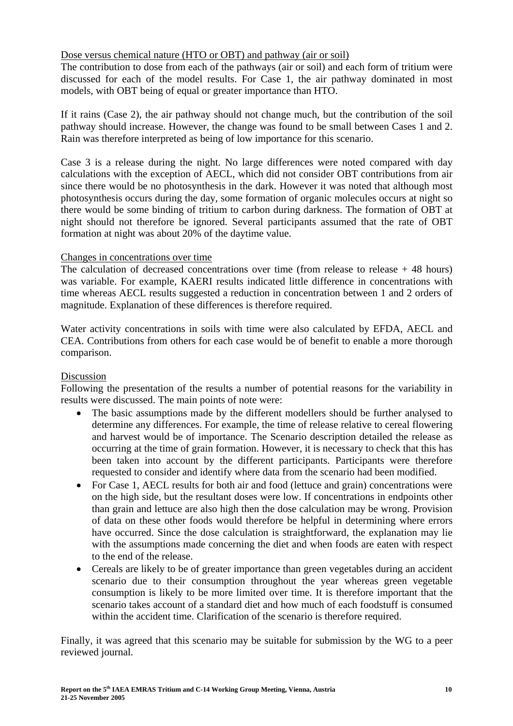### Dose versus chemical nature (HTO or OBT) and pathway (air or soil)

The contribution to dose from each of the pathways (air or soil) and each form of tritium were discussed for each of the model results. For Case 1, the air pathway dominated in most models, with OBT being of equal or greater importance than HTO.

If it rains (Case 2), the air pathway should not change much, but the contribution of the soil pathway should increase. However, the change was found to be small between Cases 1 and 2. Rain was therefore interpreted as being of low importance for this scenario.

Case 3 is a release during the night. No large differences were noted compared with day calculations with the exception of AECL, which did not consider OBT contributions from air since there would be no photosynthesis in the dark. However it was noted that although most photosynthesis occurs during the day, some formation of organic molecules occurs at night so there would be some binding of tritium to carbon during darkness. The formation of OBT at night should not therefore be ignored. Several participants assumed that the rate of OBT formation at night was about 20% of the daytime value.

#### Changes in concentrations over time

The calculation of decreased concentrations over time (from release to release  $+48$  hours) was variable. For example, KAERI results indicated little difference in concentrations with time whereas AECL results suggested a reduction in concentration between 1 and 2 orders of magnitude. Explanation of these differences is therefore required.

Water activity concentrations in soils with time were also calculated by EFDA, AECL and CEA. Contributions from others for each case would be of benefit to enable a more thorough comparison.

#### Discussion

Following the presentation of the results a number of potential reasons for the variability in results were discussed. The main points of note were:

- The basic assumptions made by the different modellers should be further analysed to determine any differences. For example, the time of release relative to cereal flowering and harvest would be of importance. The Scenario description detailed the release as occurring at the time of grain formation. However, it is necessary to check that this has been taken into account by the different participants. Participants were therefore requested to consider and identify where data from the scenario had been modified.
- For Case 1, AECL results for both air and food (lettuce and grain) concentrations were on the high side, but the resultant doses were low. If concentrations in endpoints other than grain and lettuce are also high then the dose calculation may be wrong. Provision of data on these other foods would therefore be helpful in determining where errors have occurred. Since the dose calculation is straightforward, the explanation may lie with the assumptions made concerning the diet and when foods are eaten with respect to the end of the release.
- Cereals are likely to be of greater importance than green vegetables during an accident scenario due to their consumption throughout the year whereas green vegetable consumption is likely to be more limited over time. It is therefore important that the scenario takes account of a standard diet and how much of each foodstuff is consumed within the accident time. Clarification of the scenario is therefore required.

Finally, it was agreed that this scenario may be suitable for submission by the WG to a peer reviewed journal.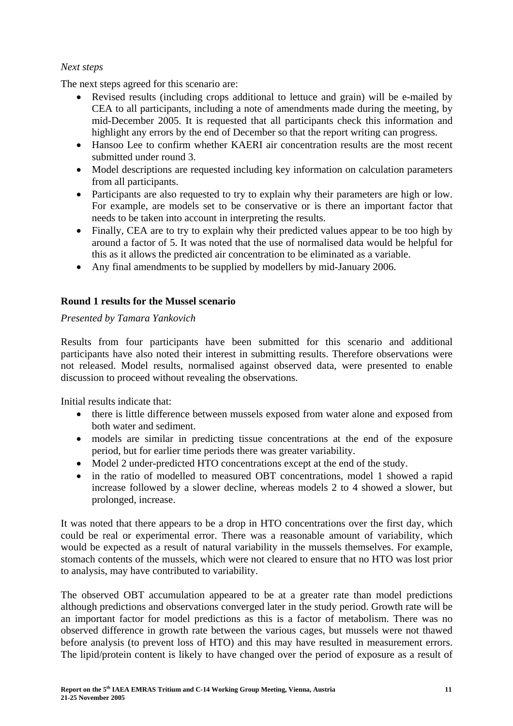# *Next steps*

The next steps agreed for this scenario are:

- Revised results (including crops additional to lettuce and grain) will be e-mailed by CEA to all participants, including a note of amendments made during the meeting, by mid-December 2005. It is requested that all participants check this information and highlight any errors by the end of December so that the report writing can progress.
- Hansoo Lee to confirm whether KAERI air concentration results are the most recent submitted under round 3.
- Model descriptions are requested including key information on calculation parameters from all participants.
- Participants are also requested to try to explain why their parameters are high or low. For example, are models set to be conservative or is there an important factor that needs to be taken into account in interpreting the results.
- Finally, CEA are to try to explain why their predicted values appear to be too high by around a factor of 5. It was noted that the use of normalised data would be helpful for this as it allows the predicted air concentration to be eliminated as a variable.
- Any final amendments to be supplied by modellers by mid-January 2006.

# **Round 1 results for the Mussel scenario**

# *Presented by Tamara Yankovich*

Results from four participants have been submitted for this scenario and additional participants have also noted their interest in submitting results. Therefore observations were not released. Model results, normalised against observed data, were presented to enable discussion to proceed without revealing the observations.

Initial results indicate that:

- there is little difference between mussels exposed from water alone and exposed from both water and sediment.
- models are similar in predicting tissue concentrations at the end of the exposure period, but for earlier time periods there was greater variability.
- Model 2 under-predicted HTO concentrations except at the end of the study.
- in the ratio of modelled to measured OBT concentrations, model 1 showed a rapid increase followed by a slower decline, whereas models 2 to 4 showed a slower, but prolonged, increase.

It was noted that there appears to be a drop in HTO concentrations over the first day, which could be real or experimental error. There was a reasonable amount of variability, which would be expected as a result of natural variability in the mussels themselves. For example, stomach contents of the mussels, which were not cleared to ensure that no HTO was lost prior to analysis, may have contributed to variability.

The observed OBT accumulation appeared to be at a greater rate than model predictions although predictions and observations converged later in the study period. Growth rate will be an important factor for model predictions as this is a factor of metabolism. There was no observed difference in growth rate between the various cages, but mussels were not thawed before analysis (to prevent loss of HTO) and this may have resulted in measurement errors. The lipid/protein content is likely to have changed over the period of exposure as a result of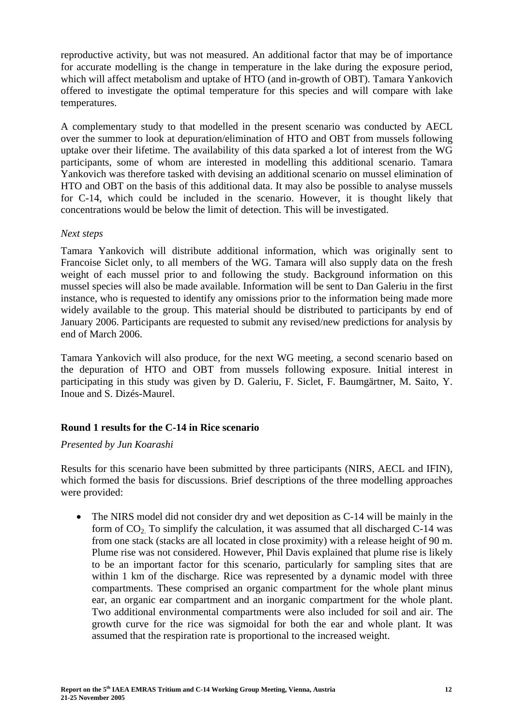reproductive activity, but was not measured. An additional factor that may be of importance for accurate modelling is the change in temperature in the lake during the exposure period, which will affect metabolism and uptake of HTO (and in-growth of OBT). Tamara Yankovich offered to investigate the optimal temperature for this species and will compare with lake temperatures.

A complementary study to that modelled in the present scenario was conducted by AECL over the summer to look at depuration/elimination of HTO and OBT from mussels following uptake over their lifetime. The availability of this data sparked a lot of interest from the WG participants, some of whom are interested in modelling this additional scenario. Tamara Yankovich was therefore tasked with devising an additional scenario on mussel elimination of HTO and OBT on the basis of this additional data. It may also be possible to analyse mussels for C-14, which could be included in the scenario. However, it is thought likely that concentrations would be below the limit of detection. This will be investigated.

### *Next steps*

Tamara Yankovich will distribute additional information, which was originally sent to Francoise Siclet only, to all members of the WG. Tamara will also supply data on the fresh weight of each mussel prior to and following the study. Background information on this mussel species will also be made available. Information will be sent to Dan Galeriu in the first instance, who is requested to identify any omissions prior to the information being made more widely available to the group. This material should be distributed to participants by end of January 2006. Participants are requested to submit any revised/new predictions for analysis by end of March 2006.

Tamara Yankovich will also produce, for the next WG meeting, a second scenario based on the depuration of HTO and OBT from mussels following exposure. Initial interest in participating in this study was given by D. Galeriu, F. Siclet, F. Baumgärtner, M. Saito, Y. Inoue and S. Dizés-Maurel.

# **Round 1 results for the C-14 in Rice scenario**

#### *Presented by Jun Koarashi*

Results for this scenario have been submitted by three participants (NIRS, AECL and IFIN), which formed the basis for discussions. Brief descriptions of the three modelling approaches were provided:

• The NIRS model did not consider dry and wet deposition as C-14 will be mainly in the form of  $CO<sub>2</sub>$ . To simplify the calculation, it was assumed that all discharged C-14 was from one stack (stacks are all located in close proximity) with a release height of 90 m. Plume rise was not considered. However, Phil Davis explained that plume rise is likely to be an important factor for this scenario, particularly for sampling sites that are within 1 km of the discharge. Rice was represented by a dynamic model with three compartments. These comprised an organic compartment for the whole plant minus ear, an organic ear compartment and an inorganic compartment for the whole plant. Two additional environmental compartments were also included for soil and air. The growth curve for the rice was sigmoidal for both the ear and whole plant. It was assumed that the respiration rate is proportional to the increased weight.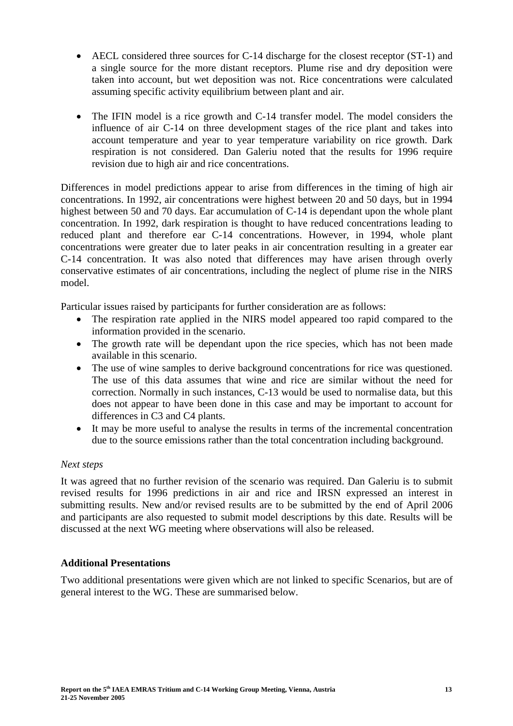- AECL considered three sources for C-14 discharge for the closest receptor (ST-1) and a single source for the more distant receptors. Plume rise and dry deposition were taken into account, but wet deposition was not. Rice concentrations were calculated assuming specific activity equilibrium between plant and air.
- The IFIN model is a rice growth and C-14 transfer model. The model considers the influence of air C-14 on three development stages of the rice plant and takes into account temperature and year to year temperature variability on rice growth. Dark respiration is not considered. Dan Galeriu noted that the results for 1996 require revision due to high air and rice concentrations.

Differences in model predictions appear to arise from differences in the timing of high air concentrations. In 1992, air concentrations were highest between 20 and 50 days, but in 1994 highest between 50 and 70 days. Ear accumulation of C-14 is dependant upon the whole plant concentration. In 1992, dark respiration is thought to have reduced concentrations leading to reduced plant and therefore ear C-14 concentrations. However, in 1994, whole plant concentrations were greater due to later peaks in air concentration resulting in a greater ear C-14 concentration. It was also noted that differences may have arisen through overly conservative estimates of air concentrations, including the neglect of plume rise in the NIRS model.

Particular issues raised by participants for further consideration are as follows:

- The respiration rate applied in the NIRS model appeared too rapid compared to the information provided in the scenario.
- The growth rate will be dependant upon the rice species, which has not been made available in this scenario.
- The use of wine samples to derive background concentrations for rice was questioned. The use of this data assumes that wine and rice are similar without the need for correction. Normally in such instances, C-13 would be used to normalise data, but this does not appear to have been done in this case and may be important to account for differences in C3 and C4 plants.
- It may be more useful to analyse the results in terms of the incremental concentration due to the source emissions rather than the total concentration including background.

# *Next steps*

It was agreed that no further revision of the scenario was required. Dan Galeriu is to submit revised results for 1996 predictions in air and rice and IRSN expressed an interest in submitting results. New and/or revised results are to be submitted by the end of April 2006 and participants are also requested to submit model descriptions by this date. Results will be discussed at the next WG meeting where observations will also be released.

# **Additional Presentations**

Two additional presentations were given which are not linked to specific Scenarios, but are of general interest to the WG. These are summarised below.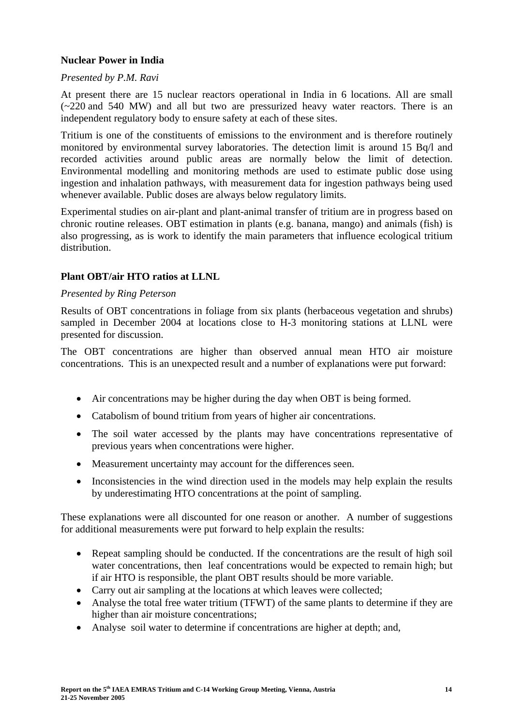# **Nuclear Power in India**

#### *Presented by P.M. Ravi*

At present there are 15 nuclear reactors operational in India in 6 locations. All are small (~220 and 540 MW) and all but two are pressurized heavy water reactors. There is an independent regulatory body to ensure safety at each of these sites.

Tritium is one of the constituents of emissions to the environment and is therefore routinely monitored by environmental survey laboratories. The detection limit is around 15 Bq/l and recorded activities around public areas are normally below the limit of detection. Environmental modelling and monitoring methods are used to estimate public dose using ingestion and inhalation pathways, with measurement data for ingestion pathways being used whenever available. Public doses are always below regulatory limits.

Experimental studies on air-plant and plant-animal transfer of tritium are in progress based on chronic routine releases. OBT estimation in plants (e.g. banana, mango) and animals (fish) is also progressing, as is work to identify the main parameters that influence ecological tritium distribution.

### **Plant OBT/air HTO ratios at LLNL**

#### *Presented by Ring Peterson*

Results of OBT concentrations in foliage from six plants (herbaceous vegetation and shrubs) sampled in December 2004 at locations close to H-3 monitoring stations at LLNL were presented for discussion.

The OBT concentrations are higher than observed annual mean HTO air moisture concentrations. This is an unexpected result and a number of explanations were put forward:

- Air concentrations may be higher during the day when OBT is being formed.
- Catabolism of bound tritium from years of higher air concentrations.
- The soil water accessed by the plants may have concentrations representative of previous years when concentrations were higher.
- Measurement uncertainty may account for the differences seen.
- Inconsistencies in the wind direction used in the models may help explain the results by underestimating HTO concentrations at the point of sampling.

These explanations were all discounted for one reason or another. A number of suggestions for additional measurements were put forward to help explain the results:

- Repeat sampling should be conducted. If the concentrations are the result of high soil water concentrations, then leaf concentrations would be expected to remain high; but if air HTO is responsible, the plant OBT results should be more variable.
- Carry out air sampling at the locations at which leaves were collected;
- Analyse the total free water tritium (TFWT) of the same plants to determine if they are higher than air moisture concentrations;
- Analyse soil water to determine if concentrations are higher at depth; and,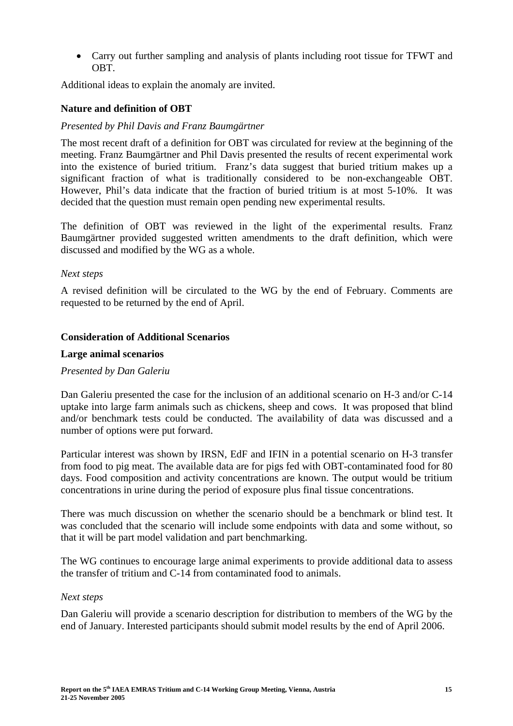• Carry out further sampling and analysis of plants including root tissue for TFWT and OBT.

Additional ideas to explain the anomaly are invited.

### **Nature and definition of OBT**

#### *Presented by Phil Davis and Franz Baumgärtner*

The most recent draft of a definition for OBT was circulated for review at the beginning of the meeting. Franz Baumgärtner and Phil Davis presented the results of recent experimental work into the existence of buried tritium. Franz's data suggest that buried tritium makes up a significant fraction of what is traditionally considered to be non-exchangeable OBT. However, Phil's data indicate that the fraction of buried tritium is at most 5-10%. It was decided that the question must remain open pending new experimental results.

The definition of OBT was reviewed in the light of the experimental results. Franz Baumgärtner provided suggested written amendments to the draft definition, which were discussed and modified by the WG as a whole.

#### *Next steps*

A revised definition will be circulated to the WG by the end of February. Comments are requested to be returned by the end of April.

### **Consideration of Additional Scenarios**

#### **Large animal scenarios**

#### *Presented by Dan Galeriu*

Dan Galeriu presented the case for the inclusion of an additional scenario on H-3 and/or C-14 uptake into large farm animals such as chickens, sheep and cows. It was proposed that blind and/or benchmark tests could be conducted. The availability of data was discussed and a number of options were put forward.

Particular interest was shown by IRSN, EdF and IFIN in a potential scenario on H-3 transfer from food to pig meat. The available data are for pigs fed with OBT-contaminated food for 80 days. Food composition and activity concentrations are known. The output would be tritium concentrations in urine during the period of exposure plus final tissue concentrations.

There was much discussion on whether the scenario should be a benchmark or blind test. It was concluded that the scenario will include some endpoints with data and some without, so that it will be part model validation and part benchmarking.

The WG continues to encourage large animal experiments to provide additional data to assess the transfer of tritium and C-14 from contaminated food to animals.

#### *Next steps*

Dan Galeriu will provide a scenario description for distribution to members of the WG by the end of January. Interested participants should submit model results by the end of April 2006.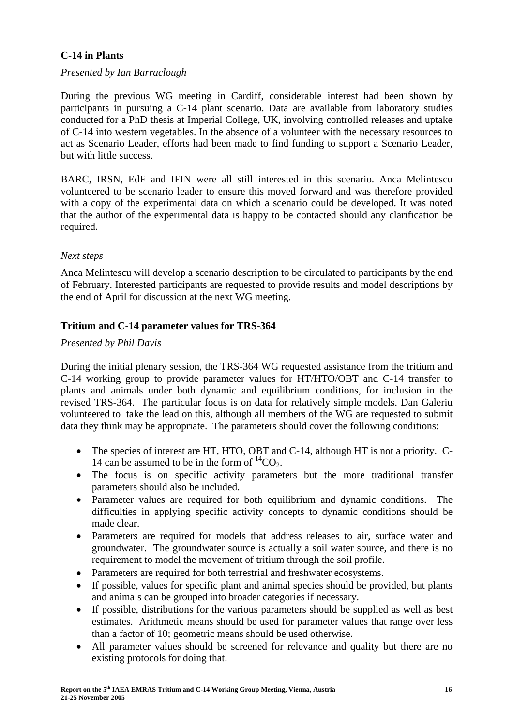# **C-14 in Plants**

#### *Presented by Ian Barraclough*

During the previous WG meeting in Cardiff, considerable interest had been shown by participants in pursuing a C-14 plant scenario. Data are available from laboratory studies conducted for a PhD thesis at Imperial College, UK, involving controlled releases and uptake of C-14 into western vegetables. In the absence of a volunteer with the necessary resources to act as Scenario Leader, efforts had been made to find funding to support a Scenario Leader, but with little success.

BARC, IRSN, EdF and IFIN were all still interested in this scenario. Anca Melintescu volunteered to be scenario leader to ensure this moved forward and was therefore provided with a copy of the experimental data on which a scenario could be developed. It was noted that the author of the experimental data is happy to be contacted should any clarification be required.

#### *Next steps*

Anca Melintescu will develop a scenario description to be circulated to participants by the end of February. Interested participants are requested to provide results and model descriptions by the end of April for discussion at the next WG meeting.

### **Tritium and C-14 parameter values for TRS-364**

#### *Presented by Phil Davis*

During the initial plenary session, the TRS-364 WG requested assistance from the tritium and C-14 working group to provide parameter values for HT/HTO/OBT and C-14 transfer to plants and animals under both dynamic and equilibrium conditions, for inclusion in the revised TRS-364. The particular focus is on data for relatively simple models. Dan Galeriu volunteered to take the lead on this, although all members of the WG are requested to submit data they think may be appropriate. The parameters should cover the following conditions:

- The species of interest are HT, HTO, OBT and C-14, although HT is not a priority. C-14 can be assumed to be in the form of  ${}^{14}CO_2$ .
- The focus is on specific activity parameters but the more traditional transfer parameters should also be included.
- Parameter values are required for both equilibrium and dynamic conditions. The difficulties in applying specific activity concepts to dynamic conditions should be made clear.
- Parameters are required for models that address releases to air, surface water and groundwater. The groundwater source is actually a soil water source, and there is no requirement to model the movement of tritium through the soil profile.
- Parameters are required for both terrestrial and freshwater ecosystems.
- If possible, values for specific plant and animal species should be provided, but plants and animals can be grouped into broader categories if necessary.
- If possible, distributions for the various parameters should be supplied as well as best estimates. Arithmetic means should be used for parameter values that range over less than a factor of 10; geometric means should be used otherwise.
- All parameter values should be screened for relevance and quality but there are no existing protocols for doing that.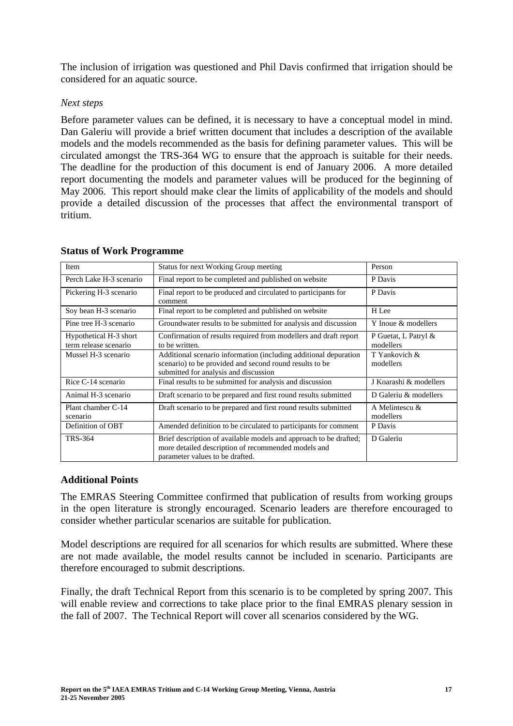The inclusion of irrigation was questioned and Phil Davis confirmed that irrigation should be considered for an aquatic source.

#### *Next steps*

Before parameter values can be defined, it is necessary to have a conceptual model in mind. Dan Galeriu will provide a brief written document that includes a description of the available models and the models recommended as the basis for defining parameter values. This will be circulated amongst the TRS-364 WG to ensure that the approach is suitable for their needs. The deadline for the production of this document is end of January 2006. A more detailed report documenting the models and parameter values will be produced for the beginning of May 2006. This report should make clear the limits of applicability of the models and should provide a detailed discussion of the processes that affect the environmental transport of tritium.

| Item                                            | <b>Status for next Working Group meeting</b>                                                                                                                         | Person                            |
|-------------------------------------------------|----------------------------------------------------------------------------------------------------------------------------------------------------------------------|-----------------------------------|
| Perch Lake H-3 scenario                         | Final report to be completed and published on website                                                                                                                | P Davis                           |
| Pickering H-3 scenario                          | Final report to be produced and circulated to participants for<br>comment                                                                                            | P Davis                           |
| Soy bean H-3 scenario                           | Final report to be completed and published on website                                                                                                                | H Lee                             |
| Pine tree H-3 scenario                          | Groundwater results to be submitted for analysis and discussion                                                                                                      | Y Inoue & modellers               |
| Hypothetical H-3 short<br>term release scenario | Confirmation of results required from modellers and draft report<br>to be written.                                                                                   | P Guetat, L Patryl &<br>modellers |
| Mussel H-3 scenario                             | Additional scenario information (including additional depuration<br>scenario) to be provided and second round results to be<br>submitted for analysis and discussion | T Yankovich &<br>modellers        |
| Rice C-14 scenario                              | Final results to be submitted for analysis and discussion                                                                                                            | J Koarashi & modellers            |
| Animal H-3 scenario                             | Draft scenario to be prepared and first round results submitted                                                                                                      | D Galeriu & modellers             |
| Plant chamber C-14<br>scenario                  | Draft scenario to be prepared and first round results submitted                                                                                                      | A Melintescu &<br>modellers       |
| Definition of OBT                               | Amended definition to be circulated to participants for comment                                                                                                      | P Davis                           |
| TRS-364                                         | Brief description of available models and approach to be drafted;<br>more detailed description of recommended models and<br>parameter values to be drafted.          | D Galeriu                         |

### **Status of Work Programme**

# **Additional Points**

The EMRAS Steering Committee confirmed that publication of results from working groups in the open literature is strongly encouraged. Scenario leaders are therefore encouraged to consider whether particular scenarios are suitable for publication.

Model descriptions are required for all scenarios for which results are submitted. Where these are not made available, the model results cannot be included in scenario. Participants are therefore encouraged to submit descriptions.

Finally, the draft Technical Report from this scenario is to be completed by spring 2007. This will enable review and corrections to take place prior to the final EMRAS plenary session in the fall of 2007. The Technical Report will cover all scenarios considered by the WG.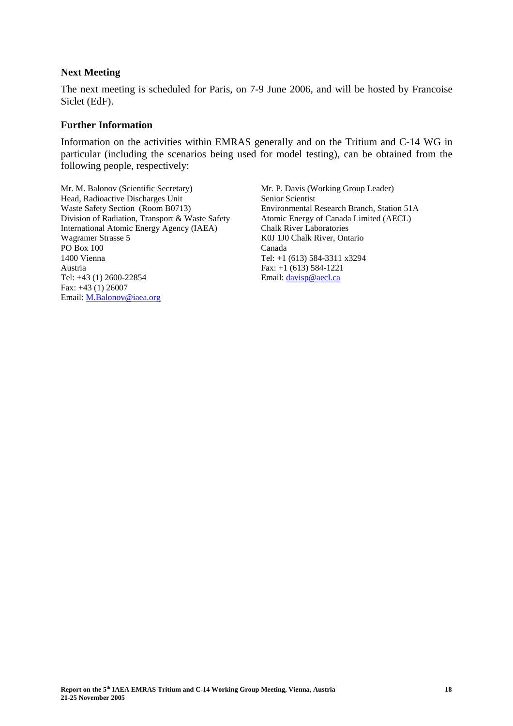#### **Next Meeting**

The next meeting is scheduled for Paris, on 7-9 June 2006, and will be hosted by Francoise Siclet (EdF).

#### **Further Information**

Information on the activities within EMRAS generally and on the Tritium and C-14 WG in particular (including the scenarios being used for model testing), can be obtained from the following people, respectively:

Mr. M. Balonov (Scientific Secretary) Head, Radioactive Discharges Unit Waste Safety Section (Room B0713) Division of Radiation, Transport & Waste Safety International Atomic Energy Agency (IAEA) Wagramer Strasse 5 PO Box 100 1400 Vienna Austria Tel: +43 (1) 2600-22854 Fax: +43 (1) 26007 Email: M.Balonov@iaea.org

Mr. P. Davis (Working Group Leader) Senior Scientist Environmental Research Branch, Station 51A Atomic Energy of Canada Limited (AECL) Chalk River Laboratories K0J 1J0 Chalk River, Ontario Canada Tel: +1 (613) 584-3311 x3294 Fax: +1 (613) 584-1221 Email: davisp@aecl.ca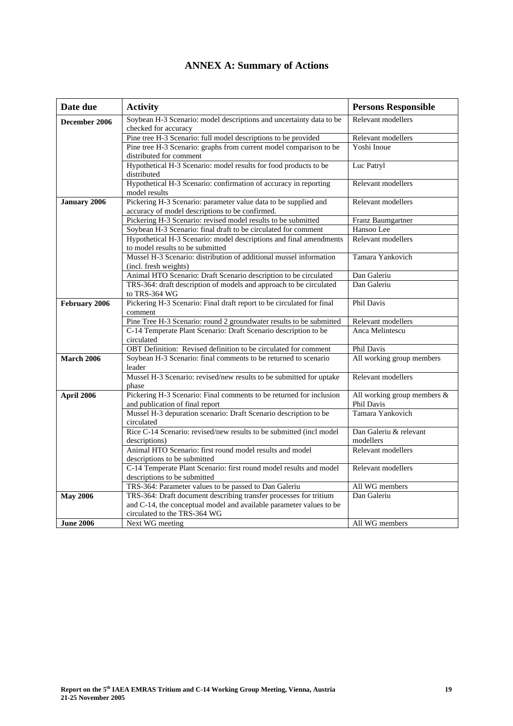| Date due            | <b>Activity</b>                                                                                                    | <b>Persons Responsible</b>                |
|---------------------|--------------------------------------------------------------------------------------------------------------------|-------------------------------------------|
| December 2006       | Soybean H-3 Scenario: model descriptions and uncertainty data to be<br>checked for accuracy                        | Relevant modellers                        |
|                     | Pine tree H-3 Scenario: full model descriptions to be provided                                                     | Relevant modellers                        |
|                     | Pine tree H-3 Scenario: graphs from current model comparison to be<br>distributed for comment                      | Yoshi Inoue                               |
|                     | Hypothetical H-3 Scenario: model results for food products to be<br>distributed                                    | Luc Patryl                                |
|                     | Hypothetical H-3 Scenario: confirmation of accuracy in reporting<br>model results                                  | Relevant modellers                        |
| <b>January 2006</b> | Pickering H-3 Scenario: parameter value data to be supplied and<br>accuracy of model descriptions to be confirmed. | Relevant modellers                        |
|                     | Pickering H-3 Scenario: revised model results to be submitted                                                      | Franz Baumgartner                         |
|                     | Soybean H-3 Scenario: final draft to be circulated for comment                                                     | Hansoo Lee                                |
|                     | Hypothetical H-3 Scenario: model descriptions and final amendments<br>to model results to be submitted             | Relevant modellers                        |
|                     | Mussel H-3 Scenario: distribution of additional mussel information<br>(incl. fresh weights)                        | Tamara Yankovich                          |
|                     | Animal HTO Scenario: Draft Scenario description to be circulated                                                   | Dan Galeriu                               |
|                     | TRS-364: draft description of models and approach to be circulated<br>to TRS-364 WG                                | Dan Galeriu                               |
| February 2006       | Pickering H-3 Scenario: Final draft report to be circulated for final<br>comment                                   | Phil Davis                                |
|                     | Pine Tree H-3 Scenario: round 2 groundwater results to be submitted                                                | Relevant modellers                        |
|                     | C-14 Temperate Plant Scenario: Draft Scenario description to be<br>circulated                                      | Anca Melintescu                           |
|                     | OBT Definition: Revised definition to be circulated for comment                                                    | Phil Davis                                |
| <b>March 2006</b>   | Soybean H-3 Scenario: final comments to be returned to scenario<br>leader                                          | All working group members                 |
|                     | Mussel H-3 Scenario: revised/new results to be submitted for uptake<br>phase                                       | Relevant modellers                        |
| <b>April 2006</b>   | Pickering H-3 Scenario: Final comments to be returned for inclusion<br>and publication of final report             | All working group members &<br>Phil Davis |
|                     | Mussel H-3 depuration scenario: Draft Scenario description to be<br>circulated                                     | Tamara Yankovich                          |
|                     | Rice C-14 Scenario: revised/new results to be submitted (incl model<br>descriptions)                               | Dan Galeriu & relevant<br>modellers       |
|                     | Animal HTO Scenario: first round model results and model<br>descriptions to be submitted                           | Relevant modellers                        |
|                     | C-14 Temperate Plant Scenario: first round model results and model<br>descriptions to be submitted                 | Relevant modellers                        |
|                     | TRS-364: Parameter values to be passed to Dan Galeriu                                                              | All WG members                            |
| <b>May 2006</b>     | TRS-364: Draft document describing transfer processes for tritium                                                  | Dan Galeriu                               |
|                     | and C-14, the conceptual model and available parameter values to be<br>circulated to the TRS-364 WG                |                                           |
| <b>June 2006</b>    | Next WG meeting                                                                                                    | All WG members                            |

# **ANNEX A: Summary of Actions**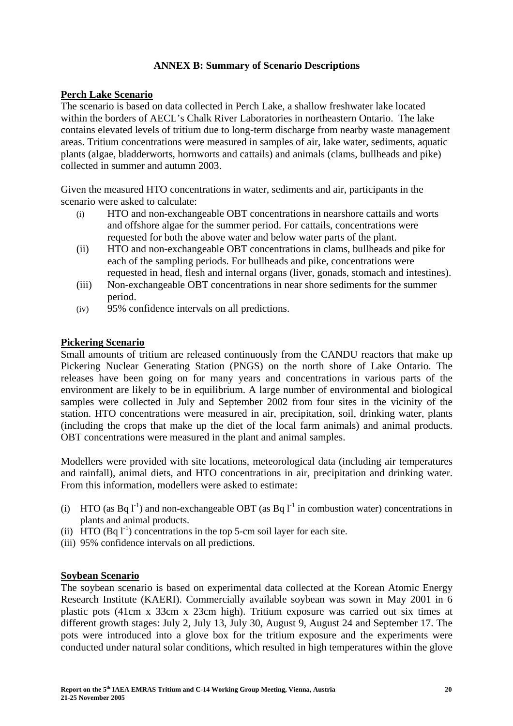### **ANNEX B: Summary of Scenario Descriptions**

#### **Perch Lake Scenario**

The scenario is based on data collected in Perch Lake, a shallow freshwater lake located within the borders of AECL's Chalk River Laboratories in northeastern Ontario. The lake contains elevated levels of tritium due to long-term discharge from nearby waste management areas. Tritium concentrations were measured in samples of air, lake water, sediments, aquatic plants (algae, bladderworts, hornworts and cattails) and animals (clams, bullheads and pike) collected in summer and autumn 2003.

Given the measured HTO concentrations in water, sediments and air, participants in the scenario were asked to calculate:

- (i) HTO and non-exchangeable OBT concentrations in nearshore cattails and worts and offshore algae for the summer period. For cattails, concentrations were requested for both the above water and below water parts of the plant.
- (ii) HTO and non-exchangeable OBT concentrations in clams, bullheads and pike for each of the sampling periods. For bullheads and pike, concentrations were requested in head, flesh and internal organs (liver, gonads, stomach and intestines).
- (iii) Non-exchangeable OBT concentrations in near shore sediments for the summer period.
- (iv) 95% confidence intervals on all predictions.

#### **Pickering Scenario**

Small amounts of tritium are released continuously from the CANDU reactors that make up Pickering Nuclear Generating Station (PNGS) on the north shore of Lake Ontario. The releases have been going on for many years and concentrations in various parts of the environment are likely to be in equilibrium. A large number of environmental and biological samples were collected in July and September 2002 from four sites in the vicinity of the station. HTO concentrations were measured in air, precipitation, soil, drinking water, plants (including the crops that make up the diet of the local farm animals) and animal products. OBT concentrations were measured in the plant and animal samples.

Modellers were provided with site locations, meteorological data (including air temperatures and rainfall), animal diets, and HTO concentrations in air, precipitation and drinking water. From this information, modellers were asked to estimate:

- (i) HTO (as Bq  $1^{-1}$ ) and non-exchangeable OBT (as Bq  $1^{-1}$  in combustion water) concentrations in plants and animal products.
- (ii) HTO  $(Bq 1<sup>-1</sup>)$  concentrations in the top 5-cm soil layer for each site.
- (iii) 95% confidence intervals on all predictions.

# **Soybean Scenario**

The soybean scenario is based on experimental data collected at the Korean Atomic Energy Research Institute (KAERI). Commercially available soybean was sown in May 2001 in 6 plastic pots (41cm x 33cm x 23cm high). Tritium exposure was carried out six times at different growth stages: July 2, July 13, July 30, August 9, August 24 and September 17. The pots were introduced into a glove box for the tritium exposure and the experiments were conducted under natural solar conditions, which resulted in high temperatures within the glove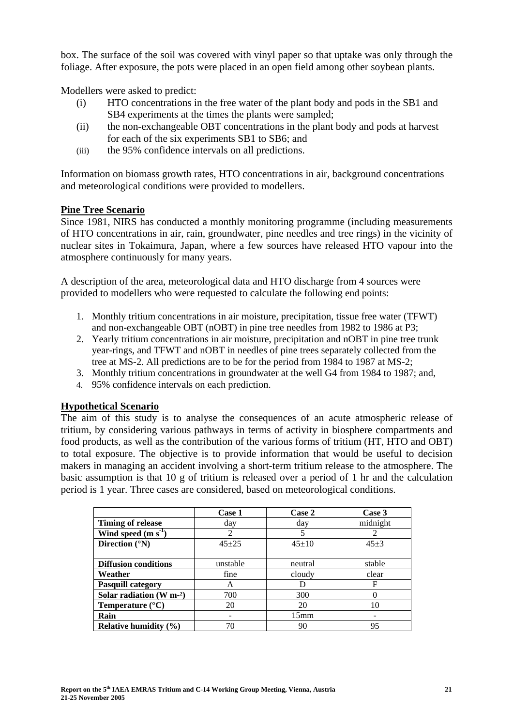box. The surface of the soil was covered with vinyl paper so that uptake was only through the foliage. After exposure, the pots were placed in an open field among other soybean plants.

Modellers were asked to predict:

- (i) HTO concentrations in the free water of the plant body and pods in the SB1 and SB4 experiments at the times the plants were sampled;
- (ii) the non-exchangeable OBT concentrations in the plant body and pods at harvest for each of the six experiments SB1 to SB6; and
- (iii) the 95% confidence intervals on all predictions.

Information on biomass growth rates, HTO concentrations in air, background concentrations and meteorological conditions were provided to modellers.

### **Pine Tree Scenario**

Since 1981, NIRS has conducted a monthly monitoring programme (including measurements of HTO concentrations in air, rain, groundwater, pine needles and tree rings) in the vicinity of nuclear sites in Tokaimura, Japan, where a few sources have released HTO vapour into the atmosphere continuously for many years.

A description of the area, meteorological data and HTO discharge from 4 sources were provided to modellers who were requested to calculate the following end points:

- 1. Monthly tritium concentrations in air moisture, precipitation, tissue free water (TFWT) and non-exchangeable OBT (nOBT) in pine tree needles from 1982 to 1986 at P3;
- 2. Yearly tritium concentrations in air moisture, precipitation and nOBT in pine tree trunk year-rings, and TFWT and nOBT in needles of pine trees separately collected from the tree at MS-2. All predictions are to be for the period from 1984 to 1987 at MS-2;
- 3. Monthly tritium concentrations in groundwater at the well G4 from 1984 to 1987; and,
- 4. 95% confidence intervals on each prediction.

# **Hypothetical Scenario**

The aim of this study is to analyse the consequences of an acute atmospheric release of tritium, by considering various pathways in terms of activity in biosphere compartments and food products, as well as the contribution of the various forms of tritium (HT, HTO and OBT) to total exposure. The objective is to provide information that would be useful to decision makers in managing an accident involving a short-term tritium release to the atmosphere. The basic assumption is that 10 g of tritium is released over a period of 1 hr and the calculation period is 1 year. Three cases are considered, based on meteorological conditions.

|                             | Case 1         | Case 2      | Case 3   |
|-----------------------------|----------------|-------------|----------|
| <b>Timing of release</b>    | day            | day         | midnight |
| Wind speed $(m s-1)$        | $\overline{2}$ |             | 2        |
| Direction $(^{\circ}N)$     | $45 + 25$      | $45 \pm 10$ | $45 + 3$ |
|                             |                |             |          |
| <b>Diffusion conditions</b> | unstable       | neutral     | stable   |
| Weather                     | fine           | cloudy      | clear    |
| <b>Pasquill category</b>    | A              |             | F        |
| Solar radiation $(W m-2)$   | 700            | 300         | 0        |
| Temperature $(^{\circ}C)$   | 20             | 20          | 10       |
| Rain                        |                | 15mm        |          |
| Relative humidity $(\% )$   | 70             | 90          | 95       |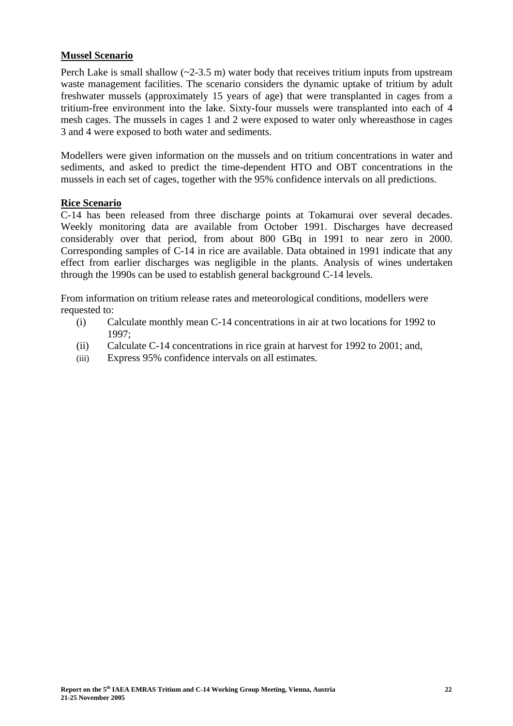#### **Mussel Scenario**

Perch Lake is small shallow  $(\sim 2-3.5 \text{ m})$  water body that receives tritium inputs from upstream waste management facilities. The scenario considers the dynamic uptake of tritium by adult freshwater mussels (approximately 15 years of age) that were transplanted in cages from a tritium-free environment into the lake. Sixty-four mussels were transplanted into each of 4 mesh cages. The mussels in cages 1 and 2 were exposed to water only whereasthose in cages 3 and 4 were exposed to both water and sediments.

Modellers were given information on the mussels and on tritium concentrations in water and sediments, and asked to predict the time-dependent HTO and OBT concentrations in the mussels in each set of cages, together with the 95% confidence intervals on all predictions.

### **Rice Scenario**

C-14 has been released from three discharge points at Tokamurai over several decades. Weekly monitoring data are available from October 1991. Discharges have decreased considerably over that period, from about 800 GBq in 1991 to near zero in 2000. Corresponding samples of C-14 in rice are available. Data obtained in 1991 indicate that any effect from earlier discharges was negligible in the plants. Analysis of wines undertaken through the 1990s can be used to establish general background C-14 levels.

From information on tritium release rates and meteorological conditions, modellers were requested to:

- (i) Calculate monthly mean C-14 concentrations in air at two locations for 1992 to 1997;
- (ii) Calculate C-14 concentrations in rice grain at harvest for 1992 to 2001; and,
- (iii) Express 95% confidence intervals on all estimates.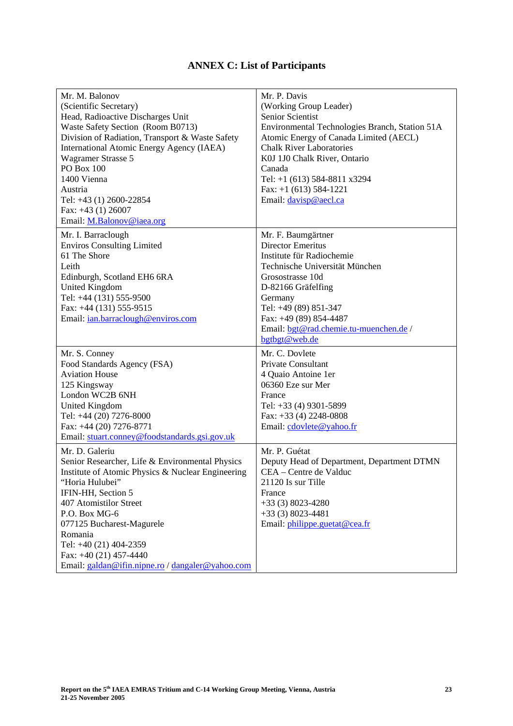# **ANNEX C: List of Participants**

| Mr. M. Balonov<br>(Scientific Secretary)<br>Head, Radioactive Discharges Unit<br>Waste Safety Section (Room B0713)<br>Division of Radiation, Transport & Waste Safety<br><b>International Atomic Energy Agency (IAEA)</b><br>Wagramer Strasse 5<br><b>PO Box 100</b><br>1400 Vienna<br>Austria<br>Tel: +43 (1) 2600-22854<br>Fax: $+43$ (1) 26007<br>Email: M.Balonov@iaea.org | Mr. P. Davis<br>(Working Group Leader)<br>Senior Scientist<br>Environmental Technologies Branch, Station 51A<br>Atomic Energy of Canada Limited (AECL)<br><b>Chalk River Laboratories</b><br>K0J 1J0 Chalk River, Ontario<br>Canada<br>Tel: $+1$ (613) 584-8811 x3294<br>Fax: $+1$ (613) 584-1221<br>Email: davisp@aecl.ca |
|--------------------------------------------------------------------------------------------------------------------------------------------------------------------------------------------------------------------------------------------------------------------------------------------------------------------------------------------------------------------------------|----------------------------------------------------------------------------------------------------------------------------------------------------------------------------------------------------------------------------------------------------------------------------------------------------------------------------|
| Mr. I. Barraclough<br><b>Enviros Consulting Limited</b><br>61 The Shore<br>Leith<br>Edinburgh, Scotland EH6 6RA<br><b>United Kingdom</b><br>Tel: +44 (131) 555-9500<br>Fax: +44 (131) 555-9515<br>Email: ian.barraclough@enviros.com                                                                                                                                           | Mr. F. Baumgärtner<br><b>Director Emeritus</b><br>Institute für Radiochemie<br>Technische Universität München<br>Grosostrasse 10d<br>D-82166 Gräfelfing<br>Germany<br>Tel: +49 (89) 851-347<br>Fax: +49 (89) 854-4487<br>Email: bgt@rad.chemie.tu-muenchen.de /<br>bgtbgt@web.de                                           |
| Mr. S. Conney<br>Food Standards Agency (FSA)<br><b>Aviation House</b><br>125 Kingsway<br>London WC2B 6NH<br><b>United Kingdom</b><br>Tel: +44 (20) 7276-8000<br>Fax: +44 (20) 7276-8771<br>Email: stuart.conney@foodstandards.gsi.gov.uk                                                                                                                                       | Mr. C. Dovlete<br><b>Private Consultant</b><br>4 Quaio Antoine 1er<br>06360 Eze sur Mer<br>France<br>Tel: +33 (4) 9301-5899<br>Fax: $+33$ (4) 2248-0808<br>Email: cdovlete@yahoo.fr                                                                                                                                        |
| Mr. D. Galeriu<br>Senior Researcher, Life & Environmental Physics<br>Institute of Atomic Physics & Nuclear Engineering<br>"Horia Hulubei"<br>IFIN-HH, Section 5<br>407 Atomistilor Street<br>P.O. Box MG-6<br>077125 Bucharest-Magurele<br>Romania<br>Tel: +40 (21) 404-2359<br>Fax: $+40(21)$ 457-4440<br>Email: galdan@ifin.nipne.ro / dangaler@yahoo.com                    | Mr. P. Guétat<br>Deputy Head of Department, Department DTMN<br>CEA - Centre de Valduc<br>21120 Is sur Tille<br>France<br>$+33(3)8023-4280$<br>$+33(3)8023-4481$<br>Email: philippe.guetat@cea.fr                                                                                                                           |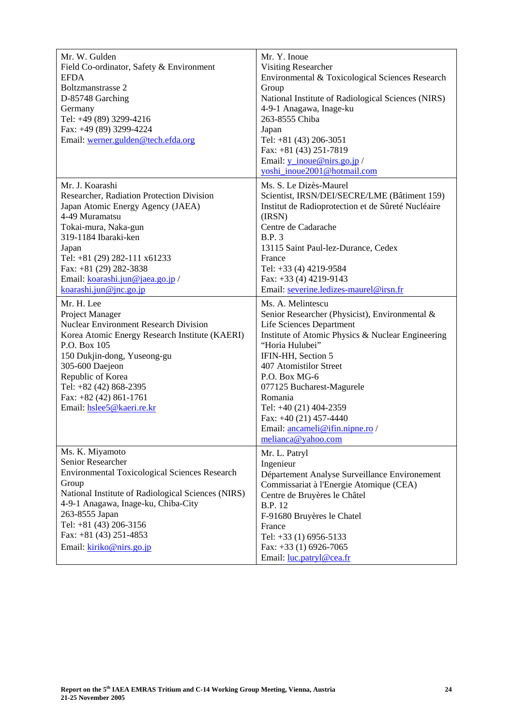| Mr. W. Gulden<br>Field Co-ordinator, Safety & Environment<br><b>EFDA</b><br>Boltzmanstrasse 2<br>D-85748 Garching<br>Germany<br>Tel: +49 (89) 3299-4216<br>Fax: +49 (89) 3299-4224                                                                                                                        | Mr. Y. Inoue<br><b>Visiting Researcher</b><br>Environmental & Toxicological Sciences Research<br>Group<br>National Institute of Radiological Sciences (NIRS)<br>4-9-1 Anagawa, Inage-ku<br>263-8555 Chiba<br>Japan                                                                                                                                                                                   |
|-----------------------------------------------------------------------------------------------------------------------------------------------------------------------------------------------------------------------------------------------------------------------------------------------------------|------------------------------------------------------------------------------------------------------------------------------------------------------------------------------------------------------------------------------------------------------------------------------------------------------------------------------------------------------------------------------------------------------|
| Email: werner.gulden@tech.efda.org                                                                                                                                                                                                                                                                        | Tel: +81 (43) 206-3051<br>Fax: $+81$ (43) 251-7819<br>Email: $y$ _inoue@nirs.go.jp /<br>yoshi inoue2001@hotmail.com                                                                                                                                                                                                                                                                                  |
| Mr. J. Koarashi<br>Researcher, Radiation Protection Division<br>Japan Atomic Energy Agency (JAEA)<br>4-49 Muramatsu<br>Tokai-mura, Naka-gun<br>319-1184 Ibaraki-ken<br>Japan<br>Tel: +81 (29) 282-111 x61233<br>Fax: +81 (29) 282-3838<br>Email: koarashi.jun@jaea.go.jp/<br>$k$ oarashi.jun@jnc.go.jp    | Ms. S. Le Dizès-Maurel<br>Scientist, IRSN/DEI/SECRE/LME (Bâtiment 159)<br>Institut de Radioprotection et de Sûreté Nucléaire<br>(IRSN)<br>Centre de Cadarache<br><b>B.P.3</b><br>13115 Saint Paul-lez-Durance, Cedex<br>France<br>Tel: +33 (4) 4219-9584<br>Fax: +33 (4) 4219-9143<br>Email: severine.ledizes-maurel@irsn.fr                                                                         |
| Mr. H. Lee<br>Project Manager<br><b>Nuclear Environment Research Division</b><br>Korea Atomic Energy Research Institute (KAERI)<br>P.O. Box 105<br>150 Dukjin-dong, Yuseong-gu<br>305-600 Daejeon<br>Republic of Korea<br>Tel: +82 (42) 868-2395<br>Fax: $+82$ (42) 861-1761<br>Email: hslee5@kaeri.re.kr | Ms. A. Melintescu<br>Senior Researcher (Physicist), Environmental &<br><b>Life Sciences Department</b><br>Institute of Atomic Physics & Nuclear Engineering<br>"Horia Hulubei"<br>IFIN-HH, Section 5<br>407 Atomistilor Street<br>P.O. Box MG-6<br>077125 Bucharest-Magurele<br>Romania<br>Tel: +40 (21) 404-2359<br>Fax: $+40(21)$ 457-4440<br>Email: ancameli@ifin.nipne.ro/<br>melianca@yahoo.com |
| Ms. K. Miyamoto<br>Senior Researcher<br><b>Environmental Toxicological Sciences Research</b><br>Group<br>National Institute of Radiological Sciences (NIRS)<br>4-9-1 Anagawa, Inage-ku, Chiba-City<br>263-8555 Japan<br>Tel: +81 (43) 206-3156<br>Fax: $+81$ (43) 251-4853<br>Email: kiriko@nirs.go.jp    | Mr. L. Patryl<br>Ingenieur<br>Département Analyse Surveillance Environement<br>Commissariat à l'Energie Atomique (CEA)<br>Centre de Bruyères le Châtel<br><b>B.P.</b> 12<br>F-91680 Bruyères le Chatel<br>France<br>Tel: +33 (1) 6956-5133<br>Fax: $+33$ (1) 6926-7065<br>Email: luc.patryl@cea.fr                                                                                                   |